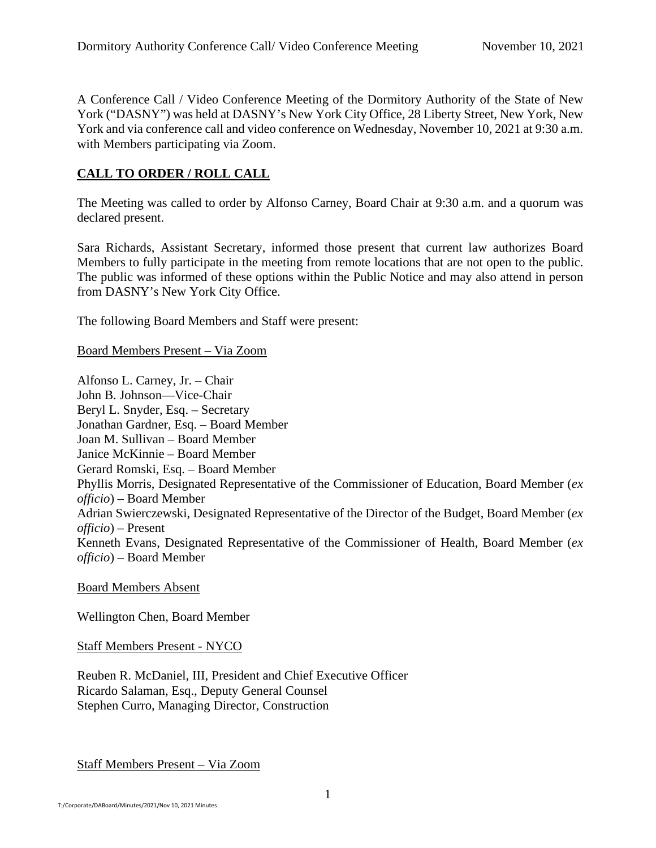A Conference Call / Video Conference Meeting of the Dormitory Authority of the State of New York ("DASNY") was held at DASNY's New York City Office, 28 Liberty Street, New York, New York and via conference call and video conference on Wednesday, November 10, 2021 at 9:30 a.m. with Members participating via Zoom.

# **CALL TO ORDER / ROLL CALL**

The Meeting was called to order by Alfonso Carney, Board Chair at 9:30 a.m. and a quorum was declared present.

Sara Richards, Assistant Secretary, informed those present that current law authorizes Board Members to fully participate in the meeting from remote locations that are not open to the public. The public was informed of these options within the Public Notice and may also attend in person from DASNY's New York City Office.

The following Board Members and Staff were present:

Board Members Present – Via Zoom

Alfonso L. Carney, Jr. – Chair John B. Johnson—Vice-Chair Beryl L. Snyder, Esq. – Secretary Jonathan Gardner, Esq. – Board Member Joan M. Sullivan – Board Member Janice McKinnie – Board Member Gerard Romski, Esq. – Board Member Phyllis Morris, Designated Representative of the Commissioner of Education, Board Member (*ex officio*) – Board Member Adrian Swierczewski, Designated Representative of the Director of the Budget, Board Member (*ex officio*) – Present Kenneth Evans, Designated Representative of the Commissioner of Health, Board Member (*ex officio*) – Board Member

Board Members Absent

Wellington Chen, Board Member

Staff Members Present - NYCO

Reuben R. McDaniel, III, President and Chief Executive Officer Ricardo Salaman, Esq., Deputy General Counsel Stephen Curro, Managing Director, Construction

Staff Members Present – Via Zoom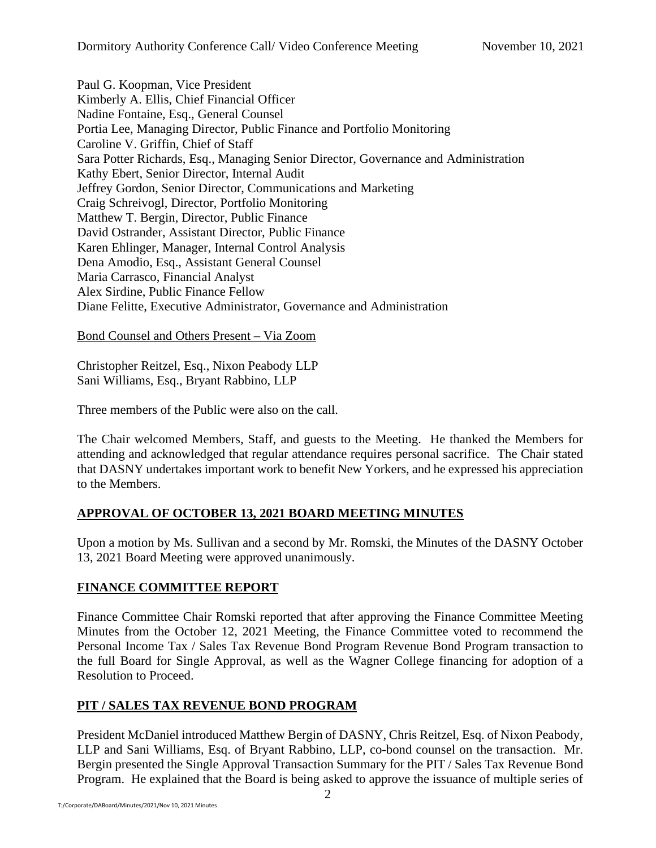Paul G. Koopman, Vice President Kimberly A. Ellis, Chief Financial Officer Nadine Fontaine, Esq., General Counsel Portia Lee, Managing Director, Public Finance and Portfolio Monitoring Caroline V. Griffin, Chief of Staff Sara Potter Richards, Esq., Managing Senior Director, Governance and Administration Kathy Ebert, Senior Director, Internal Audit Jeffrey Gordon, Senior Director, Communications and Marketing Craig Schreivogl, Director, Portfolio Monitoring Matthew T. Bergin, Director, Public Finance David Ostrander, Assistant Director, Public Finance Karen Ehlinger, Manager, Internal Control Analysis Dena Amodio, Esq., Assistant General Counsel Maria Carrasco, Financial Analyst Alex Sirdine, Public Finance Fellow Diane Felitte, Executive Administrator, Governance and Administration

Bond Counsel and Others Present – Via Zoom

Christopher Reitzel, Esq., Nixon Peabody LLP Sani Williams, Esq., Bryant Rabbino, LLP

Three members of the Public were also on the call.

The Chair welcomed Members, Staff, and guests to the Meeting. He thanked the Members for attending and acknowledged that regular attendance requires personal sacrifice. The Chair stated that DASNY undertakes important work to benefit New Yorkers, and he expressed his appreciation to the Members.

# **APPROVAL OF OCTOBER 13, 2021 BOARD MEETING MINUTES**

Upon a motion by Ms. Sullivan and a second by Mr. Romski, the Minutes of the DASNY October 13, 2021 Board Meeting were approved unanimously.

# **FINANCE COMMITTEE REPORT**

Finance Committee Chair Romski reported that after approving the Finance Committee Meeting Minutes from the October 12, 2021 Meeting, the Finance Committee voted to recommend the Personal Income Tax / Sales Tax Revenue Bond Program Revenue Bond Program transaction to the full Board for Single Approval, as well as the Wagner College financing for adoption of a Resolution to Proceed.

# **PIT / SALES TAX REVENUE BOND PROGRAM**

President McDaniel introduced Matthew Bergin of DASNY, Chris Reitzel, Esq. of Nixon Peabody, LLP and Sani Williams, Esq. of Bryant Rabbino, LLP, co-bond counsel on the transaction. Mr. Bergin presented the Single Approval Transaction Summary for the PIT / Sales Tax Revenue Bond Program. He explained that the Board is being asked to approve the issuance of multiple series of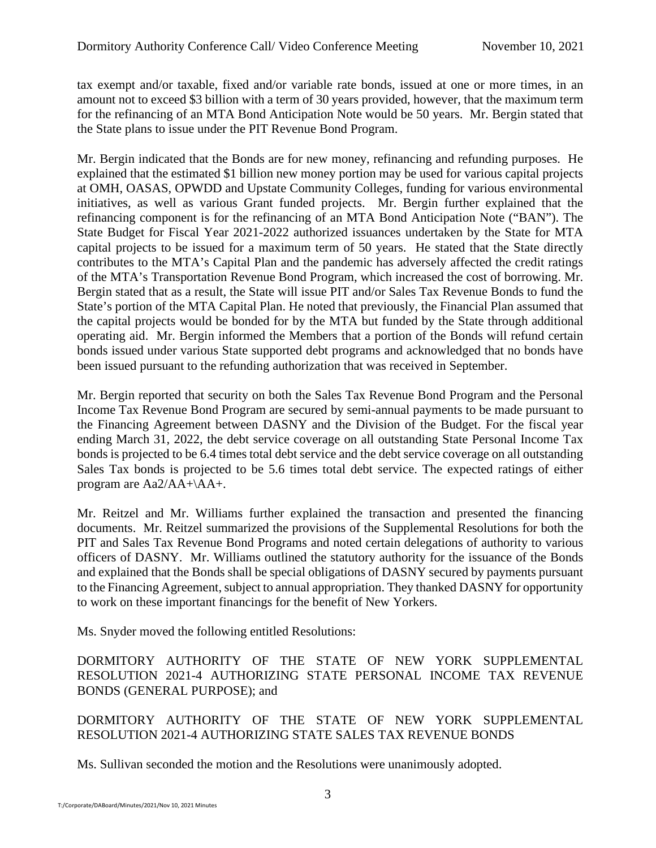tax exempt and/or taxable, fixed and/or variable rate bonds, issued at one or more times, in an amount not to exceed \$3 billion with a term of 30 years provided, however, that the maximum term for the refinancing of an MTA Bond Anticipation Note would be 50 years. Mr. Bergin stated that the State plans to issue under the PIT Revenue Bond Program.

Mr. Bergin indicated that the Bonds are for new money, refinancing and refunding purposes. He explained that the estimated \$1 billion new money portion may be used for various capital projects at OMH, OASAS, OPWDD and Upstate Community Colleges, funding for various environmental initiatives, as well as various Grant funded projects. Mr. Bergin further explained that the refinancing component is for the refinancing of an MTA Bond Anticipation Note ("BAN"). The State Budget for Fiscal Year 2021-2022 authorized issuances undertaken by the State for MTA capital projects to be issued for a maximum term of 50 years. He stated that the State directly contributes to the MTA's Capital Plan and the pandemic has adversely affected the credit ratings of the MTA's Transportation Revenue Bond Program, which increased the cost of borrowing. Mr. Bergin stated that as a result, the State will issue PIT and/or Sales Tax Revenue Bonds to fund the State's portion of the MTA Capital Plan. He noted that previously, the Financial Plan assumed that the capital projects would be bonded for by the MTA but funded by the State through additional operating aid. Mr. Bergin informed the Members that a portion of the Bonds will refund certain bonds issued under various State supported debt programs and acknowledged that no bonds have been issued pursuant to the refunding authorization that was received in September.

Mr. Bergin reported that security on both the Sales Tax Revenue Bond Program and the Personal Income Tax Revenue Bond Program are secured by semi-annual payments to be made pursuant to the Financing Agreement between DASNY and the Division of the Budget. For the fiscal year ending March 31, 2022, the debt service coverage on all outstanding State Personal Income Tax bonds is projected to be 6.4 times total debt service and the debt service coverage on all outstanding Sales Tax bonds is projected to be 5.6 times total debt service. The expected ratings of either program are Aa2/AA+\AA+.

Mr. Reitzel and Mr. Williams further explained the transaction and presented the financing documents. Mr. Reitzel summarized the provisions of the Supplemental Resolutions for both the PIT and Sales Tax Revenue Bond Programs and noted certain delegations of authority to various officers of DASNY. Mr. Williams outlined the statutory authority for the issuance of the Bonds and explained that the Bonds shall be special obligations of DASNY secured by payments pursuant to the Financing Agreement, subject to annual appropriation. They thanked DASNY for opportunity to work on these important financings for the benefit of New Yorkers.

Ms. Snyder moved the following entitled Resolutions:

DORMITORY AUTHORITY OF THE STATE OF NEW YORK SUPPLEMENTAL RESOLUTION 2021-4 AUTHORIZING STATE PERSONAL INCOME TAX REVENUE BONDS (GENERAL PURPOSE); and

DORMITORY AUTHORITY OF THE STATE OF NEW YORK SUPPLEMENTAL RESOLUTION 2021-4 AUTHORIZING STATE SALES TAX REVENUE BONDS

Ms. Sullivan seconded the motion and the Resolutions were unanimously adopted.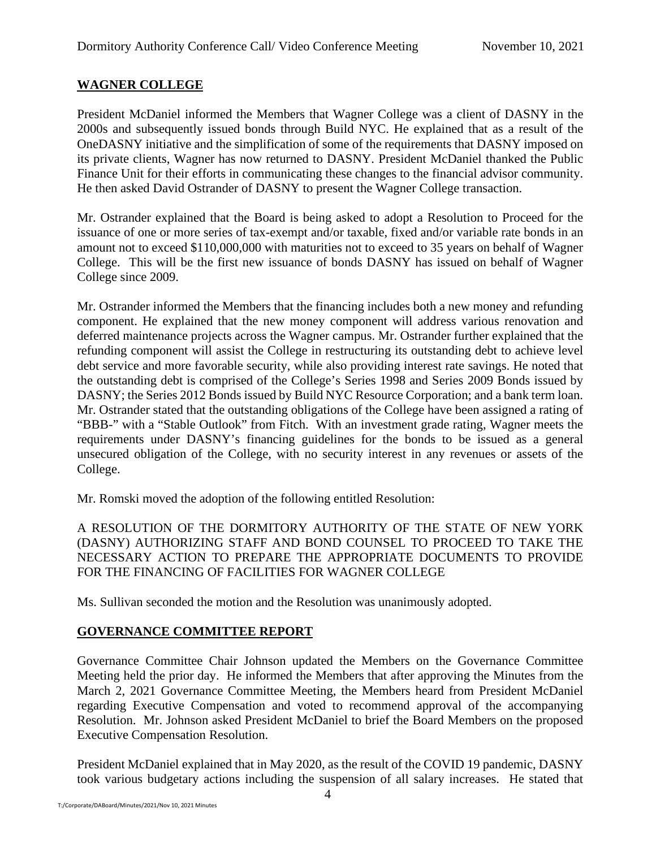# **WAGNER COLLEGE**

President McDaniel informed the Members that Wagner College was a client of DASNY in the 2000s and subsequently issued bonds through Build NYC. He explained that as a result of the OneDASNY initiative and the simplification of some of the requirements that DASNY imposed on its private clients, Wagner has now returned to DASNY. President McDaniel thanked the Public Finance Unit for their efforts in communicating these changes to the financial advisor community. He then asked David Ostrander of DASNY to present the Wagner College transaction.

Mr. Ostrander explained that the Board is being asked to adopt a Resolution to Proceed for the issuance of one or more series of tax-exempt and/or taxable, fixed and/or variable rate bonds in an amount not to exceed \$110,000,000 with maturities not to exceed to 35 years on behalf of Wagner College. This will be the first new issuance of bonds DASNY has issued on behalf of Wagner College since 2009.

Mr. Ostrander informed the Members that the financing includes both a new money and refunding component. He explained that the new money component will address various renovation and deferred maintenance projects across the Wagner campus. Mr. Ostrander further explained that the refunding component will assist the College in restructuring its outstanding debt to achieve level debt service and more favorable security, while also providing interest rate savings. He noted that the outstanding debt is comprised of the College's Series 1998 and Series 2009 Bonds issued by DASNY; the Series 2012 Bonds issued by Build NYC Resource Corporation; and a bank term loan. Mr. Ostrander stated that the outstanding obligations of the College have been assigned a rating of "BBB-" with a "Stable Outlook" from Fitch. With an investment grade rating, Wagner meets the requirements under DASNY's financing guidelines for the bonds to be issued as a general unsecured obligation of the College, with no security interest in any revenues or assets of the College.

Mr. Romski moved the adoption of the following entitled Resolution:

A RESOLUTION OF THE DORMITORY AUTHORITY OF THE STATE OF NEW YORK (DASNY) AUTHORIZING STAFF AND BOND COUNSEL TO PROCEED TO TAKE THE NECESSARY ACTION TO PREPARE THE APPROPRIATE DOCUMENTS TO PROVIDE FOR THE FINANCING OF FACILITIES FOR WAGNER COLLEGE

Ms. Sullivan seconded the motion and the Resolution was unanimously adopted.

# **GOVERNANCE COMMITTEE REPORT**

Governance Committee Chair Johnson updated the Members on the Governance Committee Meeting held the prior day. He informed the Members that after approving the Minutes from the March 2, 2021 Governance Committee Meeting, the Members heard from President McDaniel regarding Executive Compensation and voted to recommend approval of the accompanying Resolution. Mr. Johnson asked President McDaniel to brief the Board Members on the proposed Executive Compensation Resolution.

President McDaniel explained that in May 2020, as the result of the COVID 19 pandemic, DASNY took various budgetary actions including the suspension of all salary increases. He stated that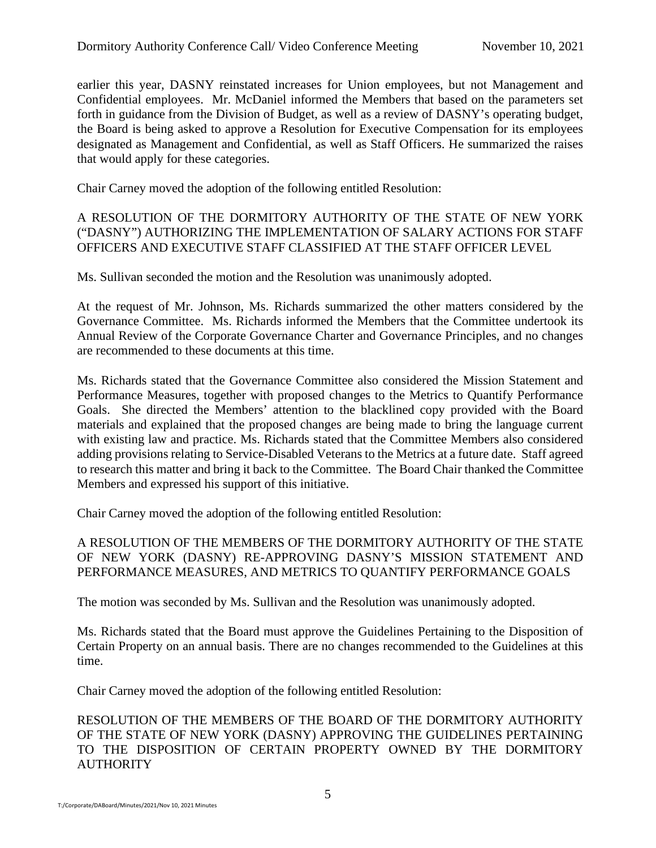earlier this year, DASNY reinstated increases for Union employees, but not Management and Confidential employees. Mr. McDaniel informed the Members that based on the parameters set forth in guidance from the Division of Budget, as well as a review of DASNY's operating budget, the Board is being asked to approve a Resolution for Executive Compensation for its employees designated as Management and Confidential, as well as Staff Officers. He summarized the raises that would apply for these categories.

Chair Carney moved the adoption of the following entitled Resolution:

### A RESOLUTION OF THE DORMITORY AUTHORITY OF THE STATE OF NEW YORK ("DASNY") AUTHORIZING THE IMPLEMENTATION OF SALARY ACTIONS FOR STAFF OFFICERS AND EXECUTIVE STAFF CLASSIFIED AT THE STAFF OFFICER LEVEL

Ms. Sullivan seconded the motion and the Resolution was unanimously adopted.

At the request of Mr. Johnson, Ms. Richards summarized the other matters considered by the Governance Committee. Ms. Richards informed the Members that the Committee undertook its Annual Review of the Corporate Governance Charter and Governance Principles, and no changes are recommended to these documents at this time.

Ms. Richards stated that the Governance Committee also considered the Mission Statement and Performance Measures, together with proposed changes to the Metrics to Quantify Performance Goals. She directed the Members' attention to the blacklined copy provided with the Board materials and explained that the proposed changes are being made to bring the language current with existing law and practice. Ms. Richards stated that the Committee Members also considered adding provisions relating to Service-Disabled Veterans to the Metrics at a future date. Staff agreed to research this matter and bring it back to the Committee. The Board Chair thanked the Committee Members and expressed his support of this initiative.

Chair Carney moved the adoption of the following entitled Resolution:

A RESOLUTION OF THE MEMBERS OF THE DORMITORY AUTHORITY OF THE STATE OF NEW YORK (DASNY) RE-APPROVING DASNY'S MISSION STATEMENT AND PERFORMANCE MEASURES, AND METRICS TO QUANTIFY PERFORMANCE GOALS

The motion was seconded by Ms. Sullivan and the Resolution was unanimously adopted.

Ms. Richards stated that the Board must approve the Guidelines Pertaining to the Disposition of Certain Property on an annual basis. There are no changes recommended to the Guidelines at this time.

Chair Carney moved the adoption of the following entitled Resolution:

RESOLUTION OF THE MEMBERS OF THE BOARD OF THE DORMITORY AUTHORITY OF THE STATE OF NEW YORK (DASNY) APPROVING THE GUIDELINES PERTAINING TO THE DISPOSITION OF CERTAIN PROPERTY OWNED BY THE DORMITORY **AUTHORITY**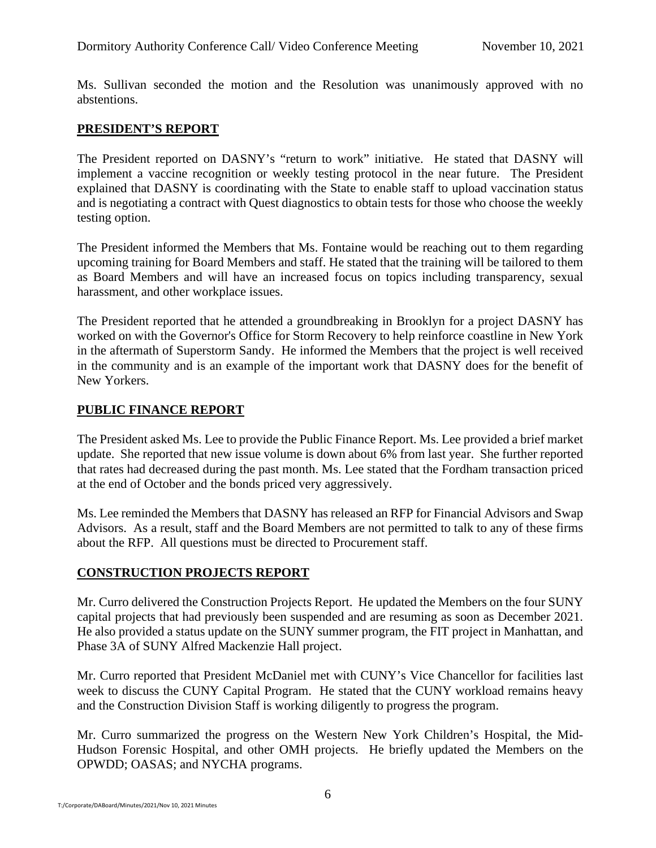Ms. Sullivan seconded the motion and the Resolution was unanimously approved with no abstentions.

### **PRESIDENT'S REPORT**

The President reported on DASNY's "return to work" initiative. He stated that DASNY will implement a vaccine recognition or weekly testing protocol in the near future. The President explained that DASNY is coordinating with the State to enable staff to upload vaccination status and is negotiating a contract with Quest diagnostics to obtain tests for those who choose the weekly testing option.

The President informed the Members that Ms. Fontaine would be reaching out to them regarding upcoming training for Board Members and staff. He stated that the training will be tailored to them as Board Members and will have an increased focus on topics including transparency, sexual harassment, and other workplace issues.

The President reported that he attended a groundbreaking in Brooklyn for a project DASNY has worked on with the Governor's Office for Storm Recovery to help reinforce coastline in New York in the aftermath of Superstorm Sandy. He informed the Members that the project is well received in the community and is an example of the important work that DASNY does for the benefit of New Yorkers.

#### **PUBLIC FINANCE REPORT**

The President asked Ms. Lee to provide the Public Finance Report. Ms. Lee provided a brief market update. She reported that new issue volume is down about 6% from last year. She further reported that rates had decreased during the past month. Ms. Lee stated that the Fordham transaction priced at the end of October and the bonds priced very aggressively.

Ms. Lee reminded the Members that DASNY has released an RFP for Financial Advisors and Swap Advisors. As a result, staff and the Board Members are not permitted to talk to any of these firms about the RFP. All questions must be directed to Procurement staff.

# **CONSTRUCTION PROJECTS REPORT**

Mr. Curro delivered the Construction Projects Report. He updated the Members on the four SUNY capital projects that had previously been suspended and are resuming as soon as December 2021. He also provided a status update on the SUNY summer program, the FIT project in Manhattan, and Phase 3A of SUNY Alfred Mackenzie Hall project.

Mr. Curro reported that President McDaniel met with CUNY's Vice Chancellor for facilities last week to discuss the CUNY Capital Program. He stated that the CUNY workload remains heavy and the Construction Division Staff is working diligently to progress the program.

Mr. Curro summarized the progress on the Western New York Children's Hospital, the Mid-Hudson Forensic Hospital, and other OMH projects. He briefly updated the Members on the OPWDD; OASAS; and NYCHA programs.